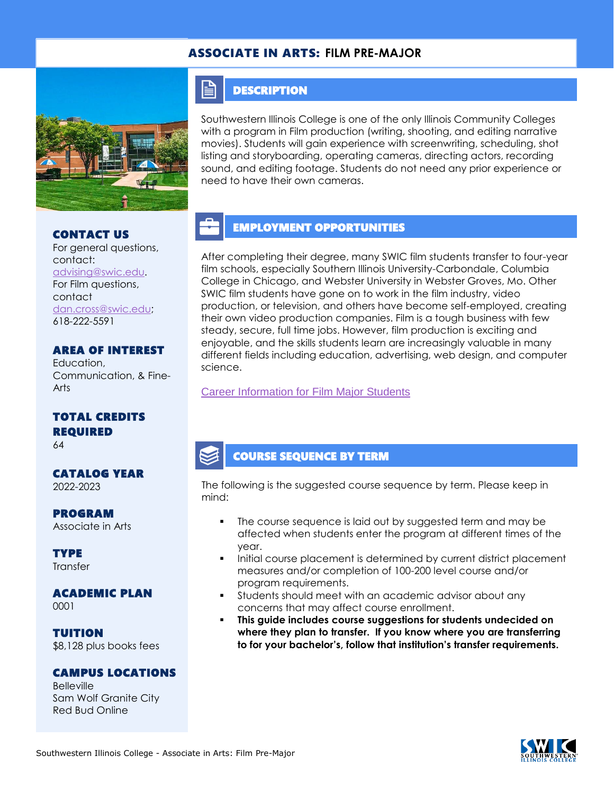### ASSOCIATE IN ARTS: **FILM PRE-MAJOR**



CONTACT US

For general questions, contact: [advising@swic.edu.](mailto:advising@swic.edu) For Film questions, contact [dan.cross@swic.edu;](mailto:dan.cross@swic.edu) 618-222-5591

#### AREA OF INTEREST

Education, Communication, & Fine-Arts

### TOTAL CREDITS REQUIRED

64

#### CATALOG YEAR 2022-2023

PROGRAM

Associate in Arts

**TYPE Transfer** 

#### ACADEMIC PLAN 0001

TUITION

\$8,128 plus books fees

### CAMPUS LOCATIONS

Belleville Sam Wolf Granite City Red Bud Online

### **DESCRIPTION**

FI

Southwestern Illinois College is one of the only Illinois Community Colleges with a program in Film production (writing, shooting, and editing narrative movies). Students will gain experience with screenwriting, scheduling, shot listing and storyboarding, operating cameras, directing actors, recording sound, and editing footage. Students do not need any prior experience or need to have their own cameras.

## EMPLOYMENT OPPORTUNITIES

After completing their degree, many SWIC film students transfer to four-year film schools, especially Southern Illinois University-Carbondale, Columbia College in Chicago, and Webster University in Webster Groves, Mo. Other SWIC film students have gone on to work in the film industry, video production, or television, and others have become self-employed, creating their own video production companies. Film is a tough business with few steady, secure, full time jobs. However, film production is exciting and enjoyable, and the skills students learn are increasingly valuable in many different fields including education, advertising, web design, and computer science.

### [Career Information for Film Major Students](https://www.onetonline.org/find/quick?s=film)

## COURSE SEQUENCE BY TERM

The following is the suggested course sequence by term. Please keep in mind:

- The course sequence is laid out by suggested term and may be affected when students enter the program at different times of the year.
- Initial course placement is determined by current district placement measures and/or completion of 100-200 level course and/or program requirements.
- Students should meet with an academic advisor about any concerns that may affect course enrollment.
- **This guide includes course suggestions for students undecided on where they plan to transfer. If you know where you are transferring to for your bachelor's, follow that institution's transfer requirements.**